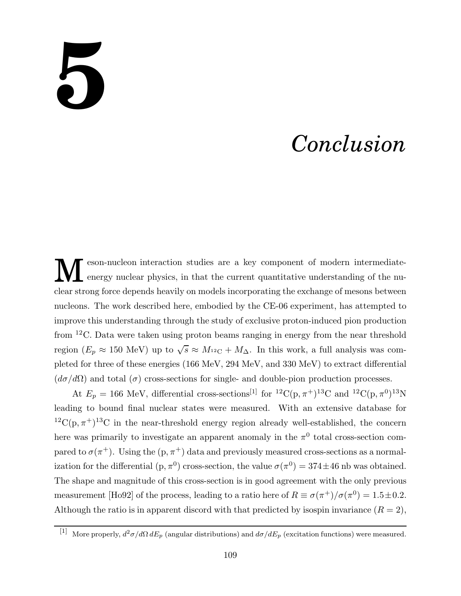## **5**

## *Conclusion*

M eson-nucleon interaction studies are a key component of modern intermediateenergy nuclear physics, in that the current quantitative understanding of the nuclear strong force depends heavily on models incorporating the exchange of mesons between nucleons. The work described here, embodied by the CE-06 experiment, has attempted to improve this understanding through the study of exclusive proton-induced pion production from <sup>12</sup>C. Data were taken using proton beams ranging in energy from the near threshold region ( $E_p \approx 150$  MeV) up to  $\sqrt{s} \approx M_{^{12}\text{C}} + M_\Delta$ . In this work, a full analysis was completed for three of these energies (166 MeV, 294 MeV, and 330 MeV) to extract differential  $(d\sigma/d\Omega)$  and total  $(\sigma)$  cross-sections for single- and double-pion production processes.

At  $E_p = 166$  MeV, differential cross-sections<sup>[1]</sup> for <sup>12</sup>C(p,  $\pi$ <sup>+</sup>)<sup>13</sup>C and <sup>12</sup>C(p,  $\pi$ <sup>0</sup>)<sup>13</sup>N leading to bound final nuclear states were measured. With an extensive database for  ${}^{12}C(p, \pi^+){}^{13}C$  in the near-threshold energy region already well-established, the concern here was primarily to investigate an apparent anomaly in the  $\pi^0$  total cross-section compared to  $\sigma(\pi^+)$ . Using the  $(p, \pi^+)$  data and previously measured cross-sections as a normalization for the differential  $(p, \pi^0)$  cross-section, the value  $\sigma(\pi^0) = 374 \pm 46$  nb was obtained. The shape and magnitude of this cross-section is in good agreement with the only previous measurement [Ho92] of the process, leading to a ratio here of  $R \equiv \sigma(\pi^+)/\sigma(\pi^0) = 1.5 \pm 0.2$ . Although the ratio is in apparent discord with that predicted by isospin invariance  $(R = 2)$ ,

<sup>[1]</sup> More properly,  $d^2\sigma/d\Omega dE_p$  (angular distributions) and  $d\sigma/dE_p$  (excitation functions) were measured.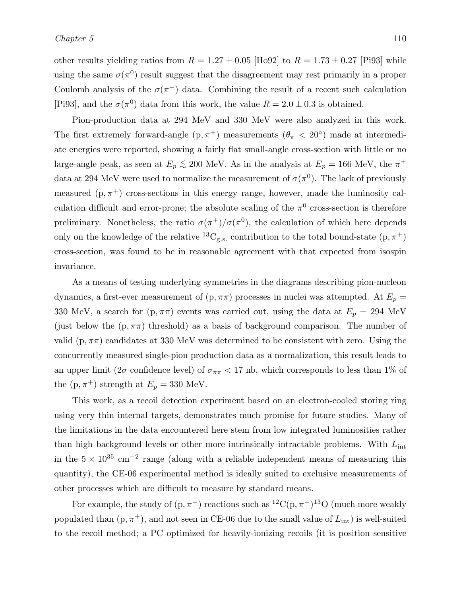Pion-production data at 294 MeV and 330 MeV were also analyzed in this work. The first extremely forward-angle  $(p, \pi^+)$  measurements  $(\theta_{\pi} < 20^{\circ})$  made at intermediate energies were reported, showing a fairly flat small-angle cross-section with little or no large-angle peak, as seen at  $E_p \lesssim 200$  MeV. As in the analysis at  $E_p = 166$  MeV, the  $\pi^+$ data at 294 MeV were used to normalize the measurement of  $\sigma(\pi^0)$ . The lack of previously measured  $(p, \pi^+)$  cross-sections in this energy range, however, made the luminosity calculation difficult and error-prone; the absolute scaling of the  $\pi^0$  cross-section is therefore preliminary. Nonetheless, the ratio  $\sigma(\pi^+) / \sigma(\pi^0)$ , the calculation of which here depends only on the knowledge of the relative <sup>13</sup>C<sub>g.s.</sub> contribution to the total bound-state  $(p, \pi^+)$ cross-section, was found to be in reasonable agreement with that expected from isospin invariance.

As a means of testing underlying symmetries in the diagrams describing pion-nucleon dynamics, a first-ever measurement of  $(p, \pi\pi)$  processes in nuclei was attempted. At  $E_p =$ 330 MeV, a search for  $(p, \pi\pi)$  events was carried out, using the data at  $E_p = 294$  MeV (just below the  $(p, \pi\pi)$  threshold) as a basis of background comparison. The number of valid (p,  $\pi\pi$ ) candidates at 330 MeV was determined to be consistent with zero. Using the concurrently measured single-pion production data as a normalization, this result leads to an upper limit ( $2\sigma$  confidence level) of  $\sigma_{\pi\pi}$  < 17 nb, which corresponds to less than 1% of the  $(p, \pi^+)$  strength at  $E_p = 330$  MeV.

This work, as a recoil detection experiment based on an electron-cooled storing ring using very thin internal targets, demonstrates much promise for future studies. Many of the limitations in the data encountered here stem from low integrated luminosities rather than high background levels or other more intrinsically intractable problems. With  $L_{\text{int}}$ in the  $5 \times 10^{35}$  cm<sup>-2</sup> range (along with a reliable independent means of measuring this quantity), the CE-06 experimental method is ideally suited to exclusive measurements of other processes which are difficult to measure by standard means.

For example, the study of  $(p, \pi^{-})$  reactions such as <sup>12</sup>C $(p, \pi^{-})$ <sup>13</sup>O (much more weakly populated than  $(p, \pi^+)$ , and not seen in CE-06 due to the small value of  $L_{int}$ ) is well-suited to the recoil method; a PC optimized for heavily-ionizing recoils (it is position sensitive